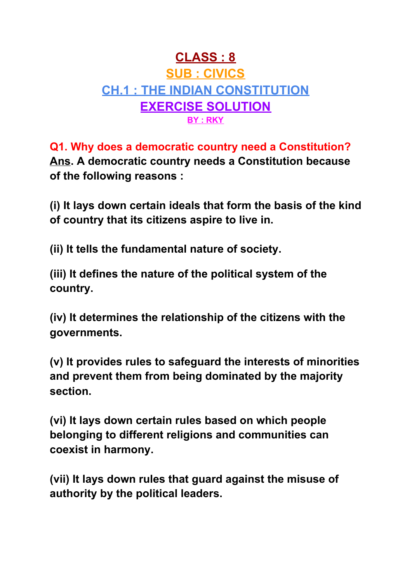# **CLASS : 8 SUB : CIVICS CH.1 : THE INDIAN CONSTITUTION EXERCISE SOLUTION BY : RKY**

**Q1. Why does a democratic country need a Constitution? Ans. A democratic country needs a Constitution because of the following reasons :**

**(i) It lays down certain ideals that form the basis of the kind of country that its citizens aspire to live in.**

**(ii) It tells the fundamental nature of society.**

**(iii) It defines the nature of the political system of the country.**

**(iv) It determines the relationship of the citizens with the governments.**

**(v) It provides rules to safeguard the interests of minorities and prevent them from being dominated by the majority section.**

**(vi) It lays down certain rules based on which people belonging to different religions and communities can coexist in harmony.**

**(vii) It lays down rules that guard against the misuse of authority by the political leaders.**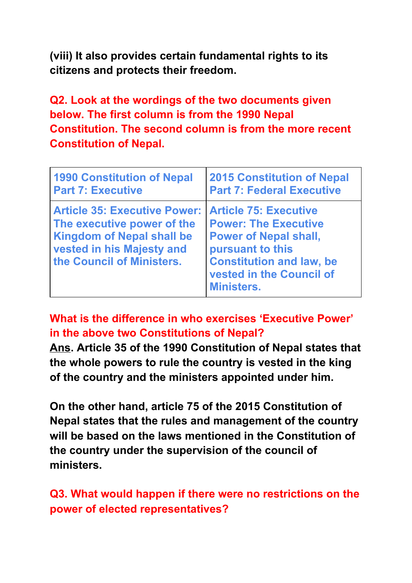**(viii) It also provides certain fundamental rights to its citizens and protects their freedom.**

**Q2. Look at the wordings of the two documents given below. The first column is from the 1990 Nepal Constitution. The second column is from the more recent Constitution of Nepal.**

| <b>1990 Constitution of Nepal</b>                                                                                                                               | <b>2015 Constitution of Nepal</b>                                                                                                                                                                   |
|-----------------------------------------------------------------------------------------------------------------------------------------------------------------|-----------------------------------------------------------------------------------------------------------------------------------------------------------------------------------------------------|
| <b>Part 7: Executive</b>                                                                                                                                        | <b>Part 7: Federal Executive</b>                                                                                                                                                                    |
| <b>Article 35: Executive Power:</b><br>The executive power of the<br><b>Kingdom of Nepal shall be</b><br>vested in his Majesty and<br>the Council of Ministers. | <b>Article 75: Executive</b><br><b>Power: The Executive</b><br><b>Power of Nepal shall,</b><br>pursuant to this<br><b>Constitution and law, be</b><br>vested in the Council of<br><b>Ministers.</b> |

**What is the difference in who exercises 'Executive Power' in the above two Constitutions of Nepal?**

**Ans. Article 35 of the 1990 Constitution of Nepal states that the whole powers to rule the country is vested in the king of the country and the ministers appointed under him.**

**On the other hand, article 75 of the 2015 Constitution of Nepal states that the rules and management of the country will be based on the laws mentioned in the Constitution of the country under the supervision of the council of ministers.**

**Q3. What would happen if there were no restrictions on the power of elected representatives?**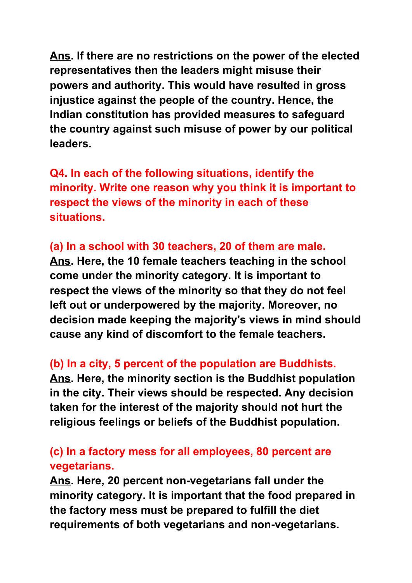**Ans. If there are no restrictions on the power of the elected representatives then the leaders might misuse their powers and authority. This would have resulted in gross injustice against the people of the country. Hence, the Indian constitution has provided measures to safeguard the country against such misuse of power by our political leaders.**

**Q4. In each of the following situations, identify the minority. Write one reason why you think it is important to respect the views of the minority in each of these situations.**

### **(a) In a school with 30 teachers, 20 of them are male.**

**Ans. Here, the 10 female teachers teaching in the school come under the minority category. It is important to respect the views of the minority so that they do not feel left out or underpowered by the majority. Moreover, no decision made keeping the majority's views in mind should cause any kind of discomfort to the female teachers.**

#### **(b) In a city, 5 percent of the population are Buddhists.**

**Ans. Here, the minority section is the Buddhist population in the city. Their views should be respected. Any decision taken for the interest of the majority should not hurt the religious feelings or beliefs of the Buddhist population.**

### **(c) In a factory mess for all employees, 80 percent are vegetarians.**

**Ans. Here, 20 percent non-vegetarians fall under the minority category. It is important that the food prepared in the factory mess must be prepared to fulfill the diet requirements of both vegetarians and non-vegetarians.**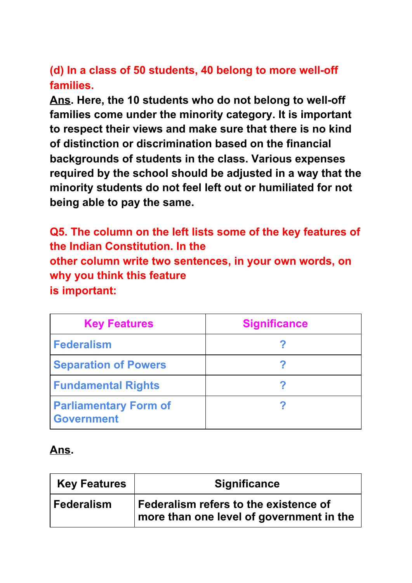## **(d) In a class of 50 students, 40 belong to more well-off families.**

**Ans. Here, the 10 students who do not belong to well-off families come under the minority category. It is important to respect their views and make sure that there is no kind of distinction or discrimination based on the financial backgrounds of students in the class. Various expenses required by the school should be adjusted in a way that the minority students do not feel left out or humiliated for not being able to pay the same.**

**Q5. The column on the left lists some of the key features of the Indian Constitution. In the other column write two sentences, in your own words, on why you think this feature is important:**

| <b>Key Features</b>                               | <b>Significance</b> |
|---------------------------------------------------|---------------------|
| <b>Federalism</b>                                 |                     |
| <b>Separation of Powers</b>                       |                     |
| <b>Fundamental Rights</b>                         |                     |
| <b>Parliamentary Form of</b><br><b>Government</b> |                     |

### **Ans.**

| <b>Key Features</b> | <b>Significance</b>                                                                 |
|---------------------|-------------------------------------------------------------------------------------|
| Federalism          | Federalism refers to the existence of<br>  more than one level of government in the |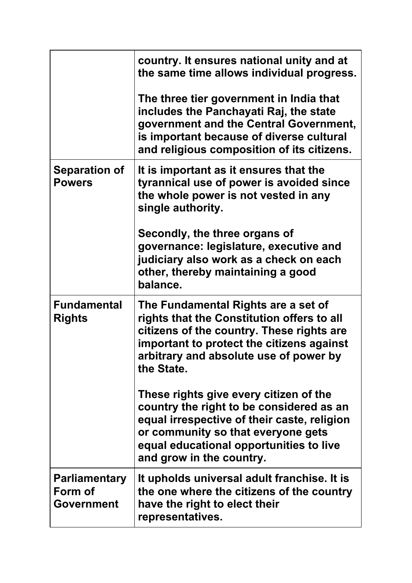|                                                      | country. It ensures national unity and at<br>the same time allows individual progress.                                                                                                                                                         |
|------------------------------------------------------|------------------------------------------------------------------------------------------------------------------------------------------------------------------------------------------------------------------------------------------------|
|                                                      | The three tier government in India that<br>includes the Panchayati Raj, the state<br>government and the Central Government,<br>is important because of diverse cultural<br>and religious composition of its citizens.                          |
| <b>Separation of</b><br><b>Powers</b>                | It is important as it ensures that the<br>tyrannical use of power is avoided since<br>the whole power is not vested in any<br>single authority.                                                                                                |
|                                                      | Secondly, the three organs of<br>governance: legislature, executive and<br>judiciary also work as a check on each<br>other, thereby maintaining a good<br>balance.                                                                             |
| <b>Fundamental</b><br><b>Rights</b>                  | The Fundamental Rights are a set of<br>rights that the Constitution offers to all<br>citizens of the country. These rights are<br>important to protect the citizens against<br>arbitrary and absolute use of power by<br>the State.            |
|                                                      | These rights give every citizen of the<br>country the right to be considered as an<br>equal irrespective of their caste, religion<br>or community so that everyone gets<br>equal educational opportunities to live<br>and grow in the country. |
| <b>Parliamentary</b><br>Form of<br><b>Government</b> | It upholds universal adult franchise. It is<br>the one where the citizens of the country<br>have the right to elect their<br>representatives.                                                                                                  |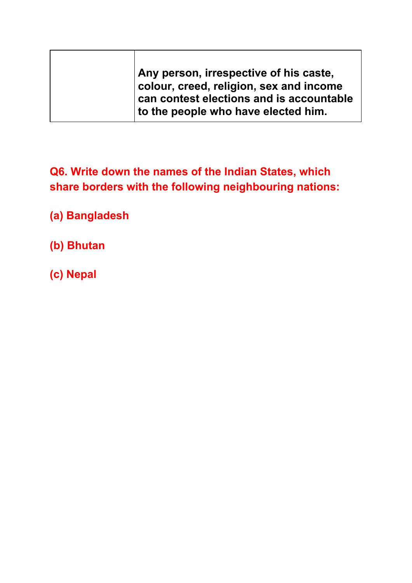| Any person, irrespective of his caste,                                              |
|-------------------------------------------------------------------------------------|
| colour, creed, religion, sex and income<br>can contest elections and is accountable |
| to the people who have elected him.                                                 |

**Q6. Write down the names of the Indian States, which share borders with the following neighbouring nations:**

**(a) Bangladesh**

- **(b) Bhutan**
- **(c) Nepal**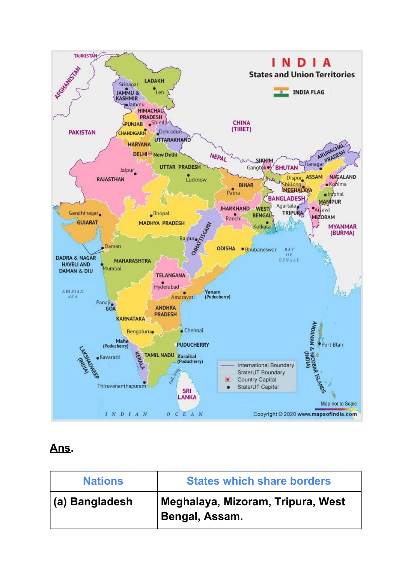

### **Ans.**

| <b>Nations</b> | <b>States which share borders</b>                   |
|----------------|-----------------------------------------------------|
| (a) Bangladesh | Meghalaya, Mizoram, Tripura, West<br>Bengal, Assam. |